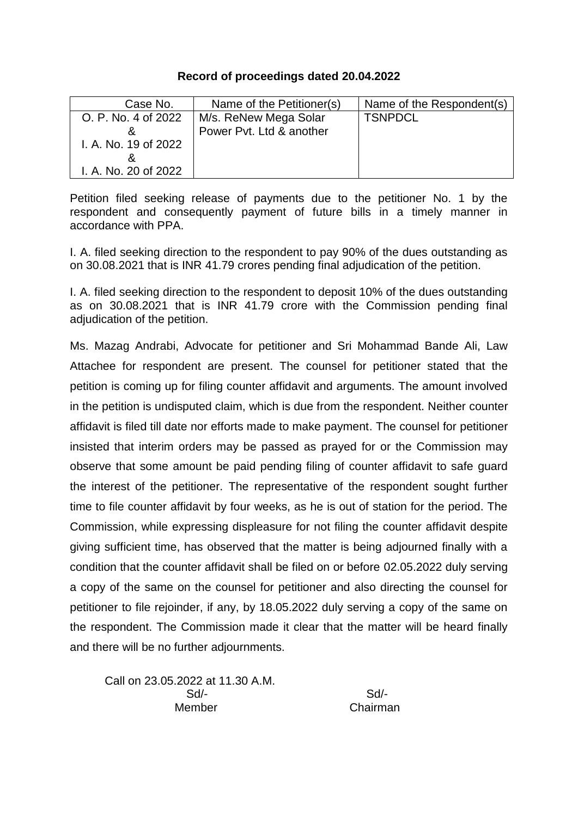## **Record of proceedings dated 20.04.2022**

| Case No.             | Name of the Petitioner(s) | Name of the Respondent(s) |
|----------------------|---------------------------|---------------------------|
| O. P. No. 4 of 2022  | M/s. ReNew Mega Solar     | <b>TSNPDCL</b>            |
|                      | Power Pyt. Ltd & another  |                           |
| I. A. No. 19 of 2022 |                           |                           |
|                      |                           |                           |
| I. A. No. 20 of 2022 |                           |                           |

Petition filed seeking release of payments due to the petitioner No. 1 by the respondent and consequently payment of future bills in a timely manner in accordance with PPA.

I. A. filed seeking direction to the respondent to pay 90% of the dues outstanding as on 30.08.2021 that is INR 41.79 crores pending final adjudication of the petition.

I. A. filed seeking direction to the respondent to deposit 10% of the dues outstanding as on 30.08.2021 that is INR 41.79 crore with the Commission pending final adjudication of the petition.

Ms. Mazag Andrabi, Advocate for petitioner and Sri Mohammad Bande Ali, Law Attachee for respondent are present. The counsel for petitioner stated that the petition is coming up for filing counter affidavit and arguments. The amount involved in the petition is undisputed claim, which is due from the respondent. Neither counter affidavit is filed till date nor efforts made to make payment. The counsel for petitioner insisted that interim orders may be passed as prayed for or the Commission may observe that some amount be paid pending filing of counter affidavit to safe guard the interest of the petitioner. The representative of the respondent sought further time to file counter affidavit by four weeks, as he is out of station for the period. The Commission, while expressing displeasure for not filing the counter affidavit despite giving sufficient time, has observed that the matter is being adjourned finally with a condition that the counter affidavit shall be filed on or before 02.05.2022 duly serving a copy of the same on the counsel for petitioner and also directing the counsel for petitioner to file rejoinder, if any, by 18.05.2022 duly serving a copy of the same on the respondent. The Commission made it clear that the matter will be heard finally and there will be no further adjournments.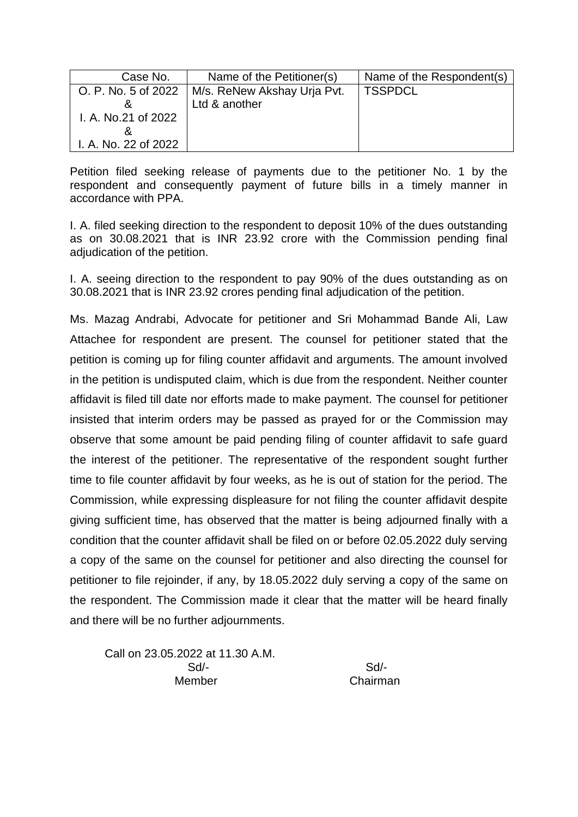| Case No.             | Name of the Petitioner(s)   | Name of the Respondent(s) |
|----------------------|-----------------------------|---------------------------|
| O. P. No. 5 of 2022  | M/s. ReNew Akshay Urja Pvt. | <b>TSSPDCL</b>            |
|                      | Ltd & another               |                           |
| I. A. No.21 of 2022  |                             |                           |
|                      |                             |                           |
| I. A. No. 22 of 2022 |                             |                           |

I. A. filed seeking direction to the respondent to deposit 10% of the dues outstanding as on 30.08.2021 that is INR 23.92 crore with the Commission pending final adjudication of the petition.

I. A. seeing direction to the respondent to pay 90% of the dues outstanding as on 30.08.2021 that is INR 23.92 crores pending final adjudication of the petition.

Ms. Mazag Andrabi, Advocate for petitioner and Sri Mohammad Bande Ali, Law Attachee for respondent are present. The counsel for petitioner stated that the petition is coming up for filing counter affidavit and arguments. The amount involved in the petition is undisputed claim, which is due from the respondent. Neither counter affidavit is filed till date nor efforts made to make payment. The counsel for petitioner insisted that interim orders may be passed as prayed for or the Commission may observe that some amount be paid pending filing of counter affidavit to safe guard the interest of the petitioner. The representative of the respondent sought further time to file counter affidavit by four weeks, as he is out of station for the period. The Commission, while expressing displeasure for not filing the counter affidavit despite giving sufficient time, has observed that the matter is being adjourned finally with a condition that the counter affidavit shall be filed on or before 02.05.2022 duly serving a copy of the same on the counsel for petitioner and also directing the counsel for petitioner to file rejoinder, if any, by 18.05.2022 duly serving a copy of the same on the respondent. The Commission made it clear that the matter will be heard finally and there will be no further adjournments.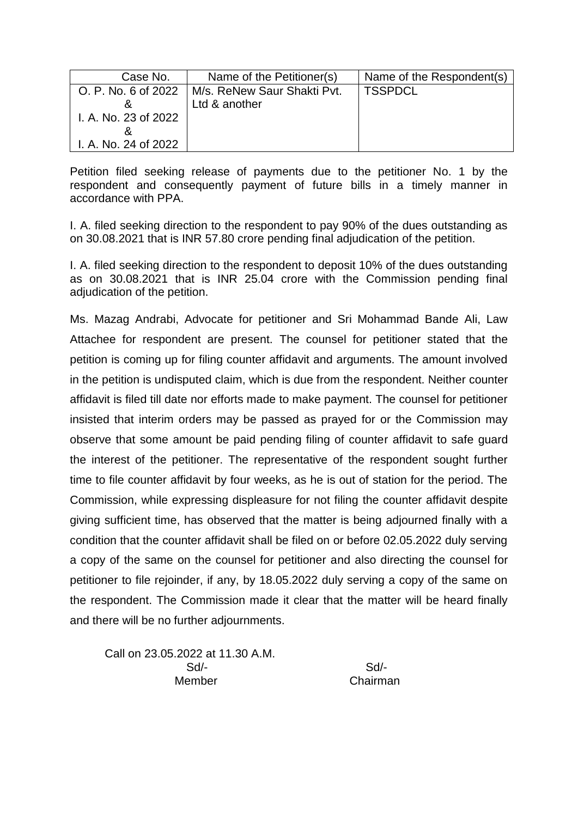| Case No.             | Name of the Petitioner(s)                         | Name of the Respondent(s) |
|----------------------|---------------------------------------------------|---------------------------|
|                      | O. P. No. 6 of 2022   M/s. ReNew Saur Shakti Pvt. | <b>TSSPDCL</b>            |
|                      | Ltd & another                                     |                           |
| I. A. No. 23 of 2022 |                                                   |                           |
|                      |                                                   |                           |
| I. A. No. 24 of 2022 |                                                   |                           |

I. A. filed seeking direction to the respondent to pay 90% of the dues outstanding as on 30.08.2021 that is INR 57.80 crore pending final adjudication of the petition.

I. A. filed seeking direction to the respondent to deposit 10% of the dues outstanding as on 30.08.2021 that is INR 25.04 crore with the Commission pending final adjudication of the petition.

Ms. Mazag Andrabi, Advocate for petitioner and Sri Mohammad Bande Ali, Law Attachee for respondent are present. The counsel for petitioner stated that the petition is coming up for filing counter affidavit and arguments. The amount involved in the petition is undisputed claim, which is due from the respondent. Neither counter affidavit is filed till date nor efforts made to make payment. The counsel for petitioner insisted that interim orders may be passed as prayed for or the Commission may observe that some amount be paid pending filing of counter affidavit to safe guard the interest of the petitioner. The representative of the respondent sought further time to file counter affidavit by four weeks, as he is out of station for the period. The Commission, while expressing displeasure for not filing the counter affidavit despite giving sufficient time, has observed that the matter is being adjourned finally with a condition that the counter affidavit shall be filed on or before 02.05.2022 duly serving a copy of the same on the counsel for petitioner and also directing the counsel for petitioner to file rejoinder, if any, by 18.05.2022 duly serving a copy of the same on the respondent. The Commission made it clear that the matter will be heard finally and there will be no further adjournments.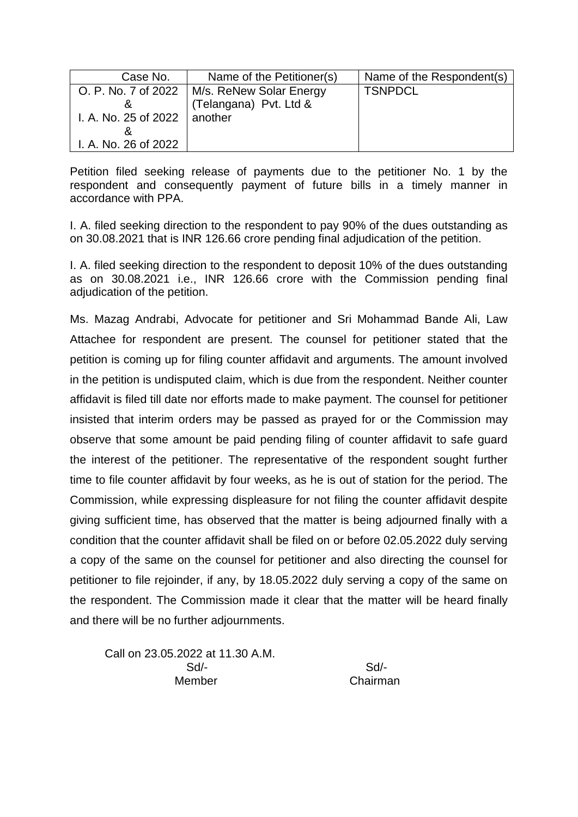| Case No.                       | Name of the Petitioner(s)                     | Name of the Respondent(s) |
|--------------------------------|-----------------------------------------------|---------------------------|
|                                | O. P. No. 7 of 2022   M/s. ReNew Solar Energy | <b>TSNPDCL</b>            |
|                                | (Telangana) Pvt. Ltd &                        |                           |
| I. A. No. 25 of 2022   another |                                               |                           |
|                                |                                               |                           |
| I. A. No. 26 of 2022           |                                               |                           |

I. A. filed seeking direction to the respondent to pay 90% of the dues outstanding as on 30.08.2021 that is INR 126.66 crore pending final adjudication of the petition.

I. A. filed seeking direction to the respondent to deposit 10% of the dues outstanding as on 30.08.2021 i.e., INR 126.66 crore with the Commission pending final adjudication of the petition.

Ms. Mazag Andrabi, Advocate for petitioner and Sri Mohammad Bande Ali, Law Attachee for respondent are present. The counsel for petitioner stated that the petition is coming up for filing counter affidavit and arguments. The amount involved in the petition is undisputed claim, which is due from the respondent. Neither counter affidavit is filed till date nor efforts made to make payment. The counsel for petitioner insisted that interim orders may be passed as prayed for or the Commission may observe that some amount be paid pending filing of counter affidavit to safe guard the interest of the petitioner. The representative of the respondent sought further time to file counter affidavit by four weeks, as he is out of station for the period. The Commission, while expressing displeasure for not filing the counter affidavit despite giving sufficient time, has observed that the matter is being adjourned finally with a condition that the counter affidavit shall be filed on or before 02.05.2022 duly serving a copy of the same on the counsel for petitioner and also directing the counsel for petitioner to file rejoinder, if any, by 18.05.2022 duly serving a copy of the same on the respondent. The Commission made it clear that the matter will be heard finally and there will be no further adjournments.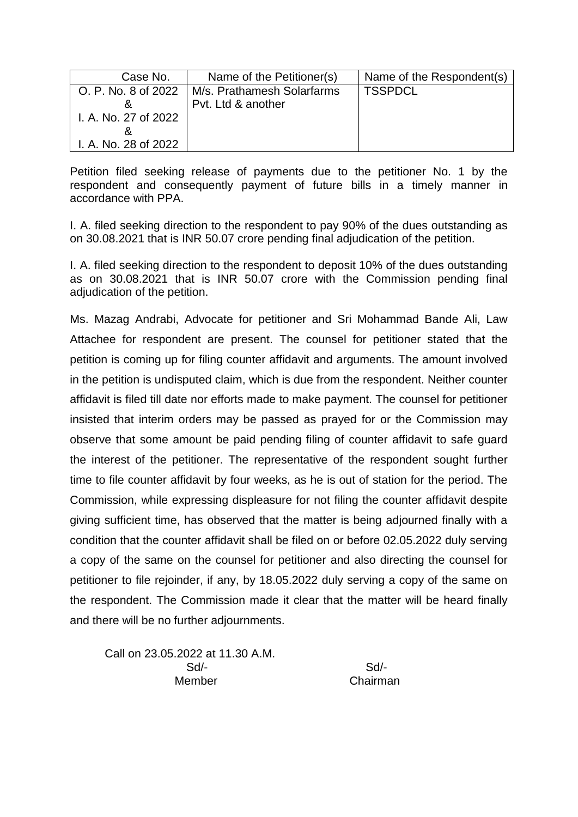| Case No.             | Name of the Petitioner(s)  | Name of the Respondent(s) |
|----------------------|----------------------------|---------------------------|
| O. P. No. 8 of 2022  | M/s. Prathamesh Solarfarms | <b>TSSPDCL</b>            |
|                      | Pyt. Ltd & another         |                           |
| I. A. No. 27 of 2022 |                            |                           |
|                      |                            |                           |
| I. A. No. 28 of 2022 |                            |                           |

I. A. filed seeking direction to the respondent to pay 90% of the dues outstanding as on 30.08.2021 that is INR 50.07 crore pending final adjudication of the petition.

I. A. filed seeking direction to the respondent to deposit 10% of the dues outstanding as on 30.08.2021 that is INR 50.07 crore with the Commission pending final adjudication of the petition.

Ms. Mazag Andrabi, Advocate for petitioner and Sri Mohammad Bande Ali, Law Attachee for respondent are present. The counsel for petitioner stated that the petition is coming up for filing counter affidavit and arguments. The amount involved in the petition is undisputed claim, which is due from the respondent. Neither counter affidavit is filed till date nor efforts made to make payment. The counsel for petitioner insisted that interim orders may be passed as prayed for or the Commission may observe that some amount be paid pending filing of counter affidavit to safe guard the interest of the petitioner. The representative of the respondent sought further time to file counter affidavit by four weeks, as he is out of station for the period. The Commission, while expressing displeasure for not filing the counter affidavit despite giving sufficient time, has observed that the matter is being adjourned finally with a condition that the counter affidavit shall be filed on or before 02.05.2022 duly serving a copy of the same on the counsel for petitioner and also directing the counsel for petitioner to file rejoinder, if any, by 18.05.2022 duly serving a copy of the same on the respondent. The Commission made it clear that the matter will be heard finally and there will be no further adjournments.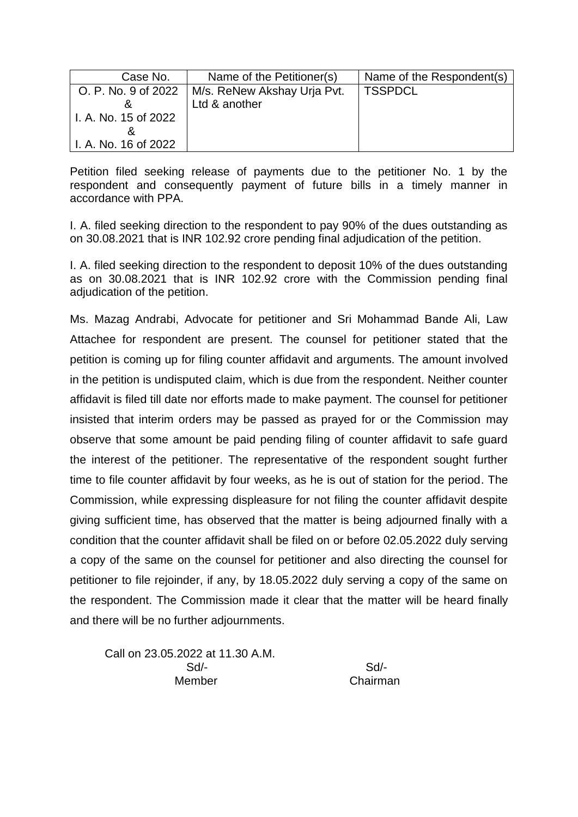| Case No.             | Name of the Petitioner(s)   | Name of the Respondent(s) |
|----------------------|-----------------------------|---------------------------|
| O. P. No. 9 of 2022  | M/s. ReNew Akshay Urja Pvt. | <b>TSSPDCL</b>            |
|                      | Ltd & another               |                           |
| I. A. No. 15 of 2022 |                             |                           |
| α                    |                             |                           |
| I. A. No. 16 of 2022 |                             |                           |

I. A. filed seeking direction to the respondent to pay 90% of the dues outstanding as on 30.08.2021 that is INR 102.92 crore pending final adjudication of the petition.

I. A. filed seeking direction to the respondent to deposit 10% of the dues outstanding as on 30.08.2021 that is INR 102.92 crore with the Commission pending final adiudication of the petition.

Ms. Mazag Andrabi, Advocate for petitioner and Sri Mohammad Bande Ali, Law Attachee for respondent are present. The counsel for petitioner stated that the petition is coming up for filing counter affidavit and arguments. The amount involved in the petition is undisputed claim, which is due from the respondent. Neither counter affidavit is filed till date nor efforts made to make payment. The counsel for petitioner insisted that interim orders may be passed as prayed for or the Commission may observe that some amount be paid pending filing of counter affidavit to safe guard the interest of the petitioner. The representative of the respondent sought further time to file counter affidavit by four weeks, as he is out of station for the period. The Commission, while expressing displeasure for not filing the counter affidavit despite giving sufficient time, has observed that the matter is being adjourned finally with a condition that the counter affidavit shall be filed on or before 02.05.2022 duly serving a copy of the same on the counsel for petitioner and also directing the counsel for petitioner to file rejoinder, if any, by 18.05.2022 duly serving a copy of the same on the respondent. The Commission made it clear that the matter will be heard finally and there will be no further adjournments.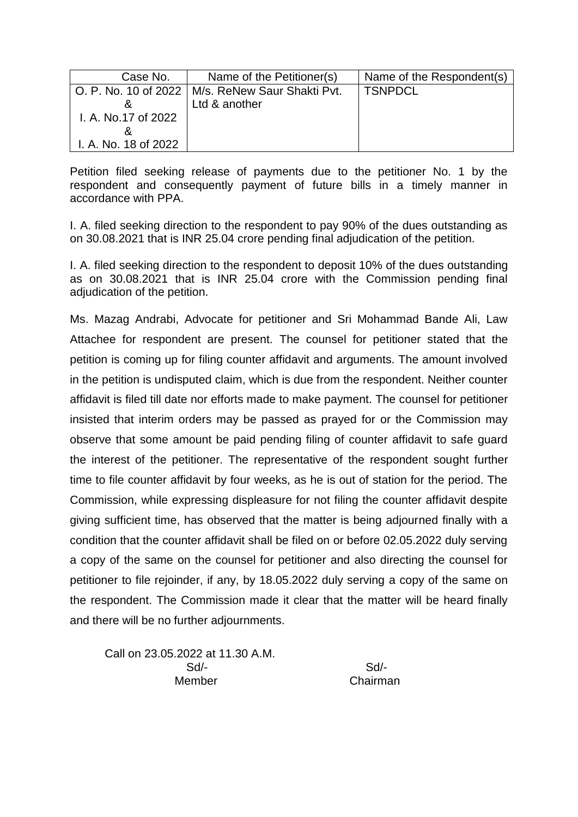| Case No.             | Name of the Petitioner(s)                          | Name of the Respondent(s) |
|----------------------|----------------------------------------------------|---------------------------|
|                      | O. P. No. 10 of 2022   M/s. ReNew Saur Shakti Pvt. | <b>TSNPDCL</b>            |
|                      | Ltd & another                                      |                           |
| I. A. No.17 of 2022  |                                                    |                           |
|                      |                                                    |                           |
| I. A. No. 18 of 2022 |                                                    |                           |

I. A. filed seeking direction to the respondent to pay 90% of the dues outstanding as on 30.08.2021 that is INR 25.04 crore pending final adjudication of the petition.

I. A. filed seeking direction to the respondent to deposit 10% of the dues outstanding as on 30.08.2021 that is INR 25.04 crore with the Commission pending final adjudication of the petition.

Ms. Mazag Andrabi, Advocate for petitioner and Sri Mohammad Bande Ali, Law Attachee for respondent are present. The counsel for petitioner stated that the petition is coming up for filing counter affidavit and arguments. The amount involved in the petition is undisputed claim, which is due from the respondent. Neither counter affidavit is filed till date nor efforts made to make payment. The counsel for petitioner insisted that interim orders may be passed as prayed for or the Commission may observe that some amount be paid pending filing of counter affidavit to safe guard the interest of the petitioner. The representative of the respondent sought further time to file counter affidavit by four weeks, as he is out of station for the period. The Commission, while expressing displeasure for not filing the counter affidavit despite giving sufficient time, has observed that the matter is being adjourned finally with a condition that the counter affidavit shall be filed on or before 02.05.2022 duly serving a copy of the same on the counsel for petitioner and also directing the counsel for petitioner to file rejoinder, if any, by 18.05.2022 duly serving a copy of the same on the respondent. The Commission made it clear that the matter will be heard finally and there will be no further adjournments.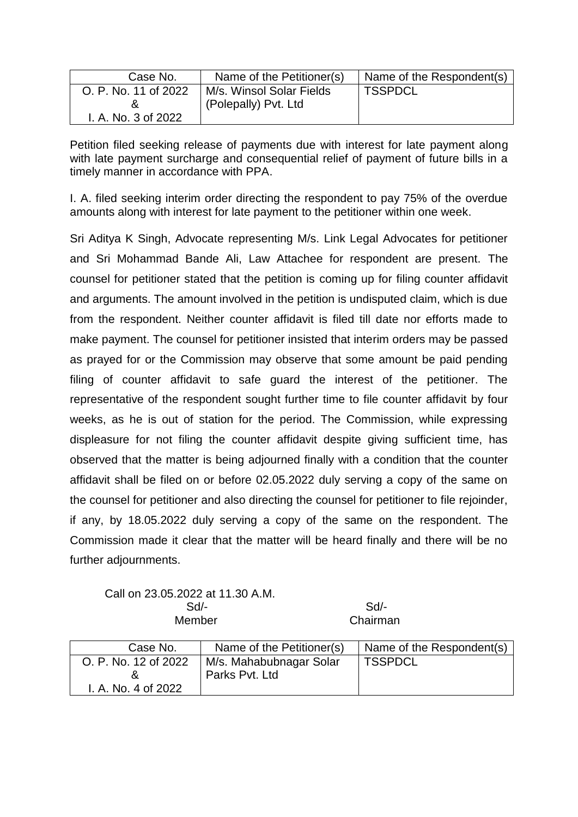| Case No.             | Name of the Petitioner(s) | Name of the Respondent(s) |
|----------------------|---------------------------|---------------------------|
| O. P. No. 11 of 2022 | M/s. Winsol Solar Fields  | <b>TSSPDCL</b>            |
|                      | (Polepally) Pvt. Ltd      |                           |
| I. A. No. 3 of 2022  |                           |                           |

Petition filed seeking release of payments due with interest for late payment along with late payment surcharge and consequential relief of payment of future bills in a timely manner in accordance with PPA.

I. A. filed seeking interim order directing the respondent to pay 75% of the overdue amounts along with interest for late payment to the petitioner within one week.

Sri Aditya K Singh, Advocate representing M/s. Link Legal Advocates for petitioner and Sri Mohammad Bande Ali, Law Attachee for respondent are present. The counsel for petitioner stated that the petition is coming up for filing counter affidavit and arguments. The amount involved in the petition is undisputed claim, which is due from the respondent. Neither counter affidavit is filed till date nor efforts made to make payment. The counsel for petitioner insisted that interim orders may be passed as prayed for or the Commission may observe that some amount be paid pending filing of counter affidavit to safe guard the interest of the petitioner. The representative of the respondent sought further time to file counter affidavit by four weeks, as he is out of station for the period. The Commission, while expressing displeasure for not filing the counter affidavit despite giving sufficient time, has observed that the matter is being adjourned finally with a condition that the counter affidavit shall be filed on or before 02.05.2022 duly serving a copy of the same on the counsel for petitioner and also directing the counsel for petitioner to file rejoinder, if any, by 18.05.2022 duly serving a copy of the same on the respondent. The Commission made it clear that the matter will be heard finally and there will be no further adjournments.

| Case No.             | Name of the Petitioner(s) | Name of the Respondent(s) |
|----------------------|---------------------------|---------------------------|
| O. P. No. 12 of 2022 | M/s. Mahabubnagar Solar   | <b>TSSPDCL</b>            |
|                      | Parks Pyt. Ltd            |                           |
| I. A. No. 4 of 2022  |                           |                           |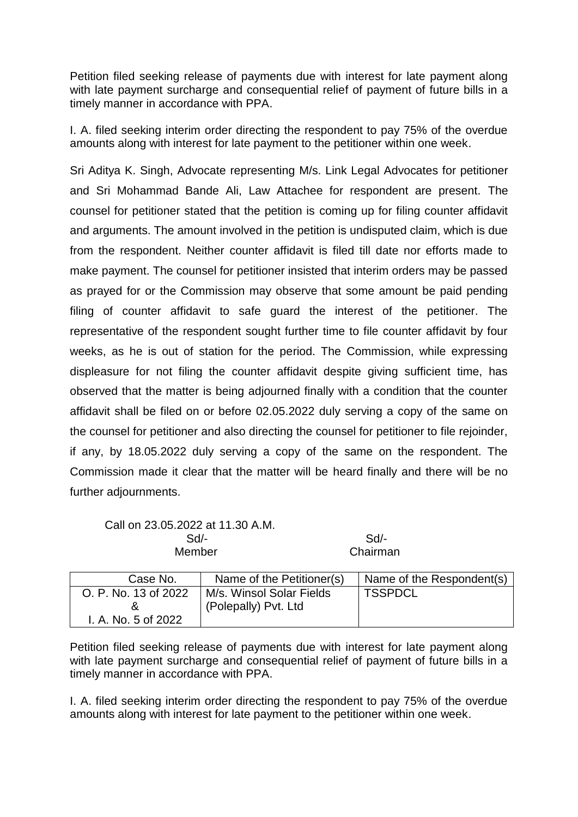Petition filed seeking release of payments due with interest for late payment along with late payment surcharge and consequential relief of payment of future bills in a timely manner in accordance with PPA.

I. A. filed seeking interim order directing the respondent to pay 75% of the overdue amounts along with interest for late payment to the petitioner within one week.

Sri Aditya K. Singh, Advocate representing M/s. Link Legal Advocates for petitioner and Sri Mohammad Bande Ali, Law Attachee for respondent are present. The counsel for petitioner stated that the petition is coming up for filing counter affidavit and arguments. The amount involved in the petition is undisputed claim, which is due from the respondent. Neither counter affidavit is filed till date nor efforts made to make payment. The counsel for petitioner insisted that interim orders may be passed as prayed for or the Commission may observe that some amount be paid pending filing of counter affidavit to safe guard the interest of the petitioner. The representative of the respondent sought further time to file counter affidavit by four weeks, as he is out of station for the period. The Commission, while expressing displeasure for not filing the counter affidavit despite giving sufficient time, has observed that the matter is being adjourned finally with a condition that the counter affidavit shall be filed on or before 02.05.2022 duly serving a copy of the same on the counsel for petitioner and also directing the counsel for petitioner to file rejoinder, if any, by 18.05.2022 duly serving a copy of the same on the respondent. The Commission made it clear that the matter will be heard finally and there will be no further adjournments.

Call on 23.05.2022 at 11.30 A.M. Sd/- Sd/- Member Chairman

| Case No.             | Name of the Petitioner(s) | Name of the Respondent(s) |
|----------------------|---------------------------|---------------------------|
| O. P. No. 13 of 2022 | M/s. Winsol Solar Fields  | <b>TSSPDCL</b>            |
|                      | (Polepally) Pvt. Ltd      |                           |
| I. A. No. 5 of 2022  |                           |                           |

Petition filed seeking release of payments due with interest for late payment along with late payment surcharge and consequential relief of payment of future bills in a timely manner in accordance with PPA.

I. A. filed seeking interim order directing the respondent to pay 75% of the overdue amounts along with interest for late payment to the petitioner within one week.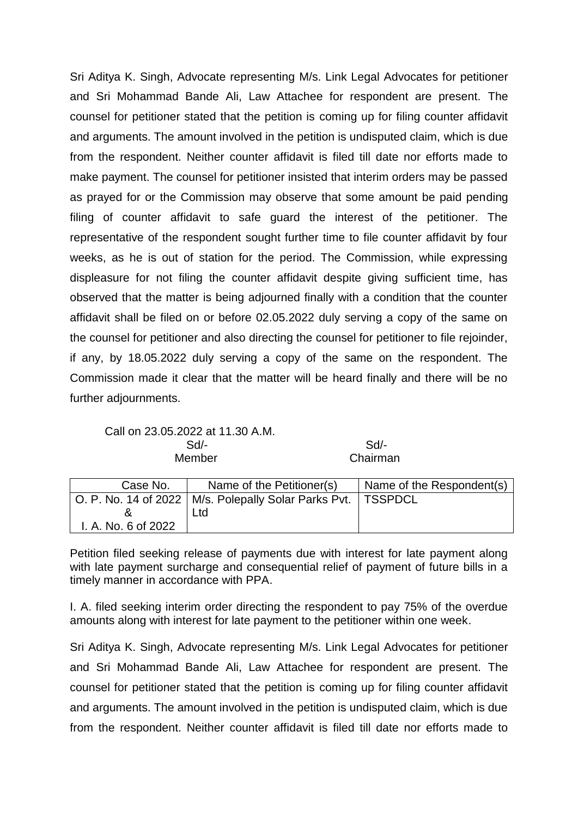Sri Aditya K. Singh, Advocate representing M/s. Link Legal Advocates for petitioner and Sri Mohammad Bande Ali, Law Attachee for respondent are present. The counsel for petitioner stated that the petition is coming up for filing counter affidavit and arguments. The amount involved in the petition is undisputed claim, which is due from the respondent. Neither counter affidavit is filed till date nor efforts made to make payment. The counsel for petitioner insisted that interim orders may be passed as prayed for or the Commission may observe that some amount be paid pending filing of counter affidavit to safe guard the interest of the petitioner. The representative of the respondent sought further time to file counter affidavit by four weeks, as he is out of station for the period. The Commission, while expressing displeasure for not filing the counter affidavit despite giving sufficient time, has observed that the matter is being adjourned finally with a condition that the counter affidavit shall be filed on or before 02.05.2022 duly serving a copy of the same on the counsel for petitioner and also directing the counsel for petitioner to file rejoinder, if any, by 18.05.2022 duly serving a copy of the same on the respondent. The Commission made it clear that the matter will be heard finally and there will be no further adjournments.

Call on 23.05.2022 at 11.30 A.M. Sd/- Sd/- Member Chairman

| Case No.            | Name of the Petitioner(s)                                        | Name of the Respondent(s) |
|---------------------|------------------------------------------------------------------|---------------------------|
|                     | O. P. No. 14 of 2022   M/s. Polepally Solar Parks Pvt.   TSSPDCL |                           |
|                     | ∟td.                                                             |                           |
| I. A. No. 6 of 2022 |                                                                  |                           |

Petition filed seeking release of payments due with interest for late payment along with late payment surcharge and consequential relief of payment of future bills in a timely manner in accordance with PPA.

I. A. filed seeking interim order directing the respondent to pay 75% of the overdue amounts along with interest for late payment to the petitioner within one week.

Sri Aditya K. Singh, Advocate representing M/s. Link Legal Advocates for petitioner and Sri Mohammad Bande Ali, Law Attachee for respondent are present. The counsel for petitioner stated that the petition is coming up for filing counter affidavit and arguments. The amount involved in the petition is undisputed claim, which is due from the respondent. Neither counter affidavit is filed till date nor efforts made to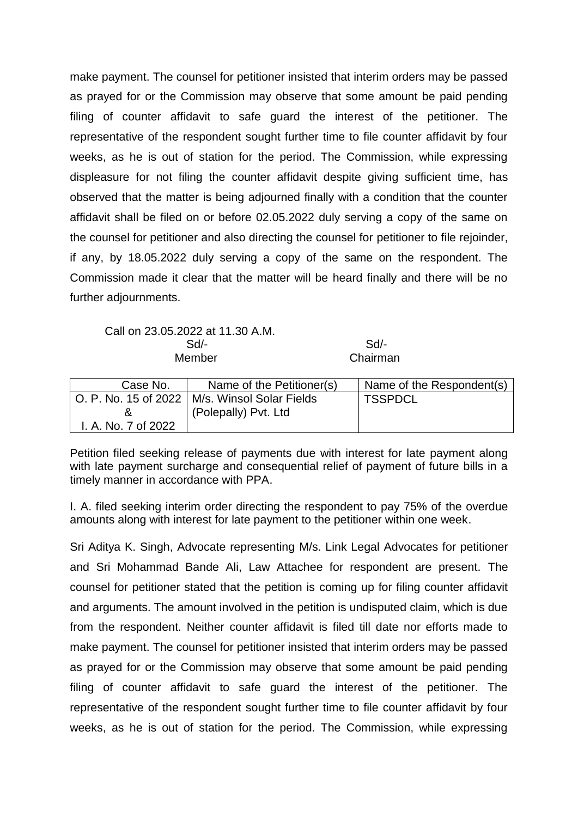make payment. The counsel for petitioner insisted that interim orders may be passed as prayed for or the Commission may observe that some amount be paid pending filing of counter affidavit to safe guard the interest of the petitioner. The representative of the respondent sought further time to file counter affidavit by four weeks, as he is out of station for the period. The Commission, while expressing displeasure for not filing the counter affidavit despite giving sufficient time, has observed that the matter is being adjourned finally with a condition that the counter affidavit shall be filed on or before 02.05.2022 duly serving a copy of the same on the counsel for petitioner and also directing the counsel for petitioner to file rejoinder, if any, by 18.05.2022 duly serving a copy of the same on the respondent. The Commission made it clear that the matter will be heard finally and there will be no further adjournments.

Call on 23.05.2022 at 11.30 A.M. Sd/- Sd/- Member Chairman

| Case No.                             | Name of the Petitioner(s) | Name of the Respondent(s) |
|--------------------------------------|---------------------------|---------------------------|
| $\vert$ O. P. No. 15 of 2022 $\vert$ | M/s. Winsol Solar Fields  | <b>TSSPDCL</b>            |
|                                      | (Polepally) Pvt. Ltd      |                           |
| I. A. No. 7 of 2022                  |                           |                           |

Petition filed seeking release of payments due with interest for late payment along with late payment surcharge and consequential relief of payment of future bills in a timely manner in accordance with PPA.

I. A. filed seeking interim order directing the respondent to pay 75% of the overdue amounts along with interest for late payment to the petitioner within one week.

Sri Aditya K. Singh, Advocate representing M/s. Link Legal Advocates for petitioner and Sri Mohammad Bande Ali, Law Attachee for respondent are present. The counsel for petitioner stated that the petition is coming up for filing counter affidavit and arguments. The amount involved in the petition is undisputed claim, which is due from the respondent. Neither counter affidavit is filed till date nor efforts made to make payment. The counsel for petitioner insisted that interim orders may be passed as prayed for or the Commission may observe that some amount be paid pending filing of counter affidavit to safe guard the interest of the petitioner. The representative of the respondent sought further time to file counter affidavit by four weeks, as he is out of station for the period. The Commission, while expressing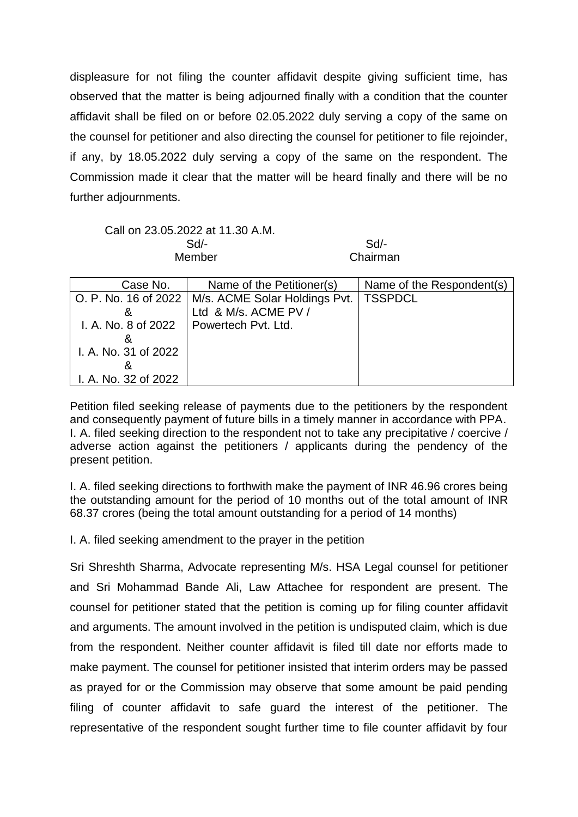displeasure for not filing the counter affidavit despite giving sufficient time, has observed that the matter is being adjourned finally with a condition that the counter affidavit shall be filed on or before 02.05.2022 duly serving a copy of the same on the counsel for petitioner and also directing the counsel for petitioner to file rejoinder, if any, by 18.05.2022 duly serving a copy of the same on the respondent. The Commission made it clear that the matter will be heard finally and there will be no further adjournments.

Call on 23.05.2022 at 11.30 A.M.

 Sd/- Sd/- Member Chairman

| Case No.             | Name of the Petitioner(s)                            | Name of the Respondent(s) |
|----------------------|------------------------------------------------------|---------------------------|
|                      | O. P. No. 16 of 2022   M/s. ACME Solar Holdings Pvt. | <b>TSSPDCL</b>            |
|                      | Ltd & M/s. ACME PV /                                 |                           |
|                      | I. A. No. 8 of 2022 $\mid$ Powertech Pvt. Ltd.       |                           |
|                      |                                                      |                           |
| I. A. No. 31 of 2022 |                                                      |                           |
|                      |                                                      |                           |
| I. A. No. 32 of 2022 |                                                      |                           |

Petition filed seeking release of payments due to the petitioners by the respondent and consequently payment of future bills in a timely manner in accordance with PPA. I. A. filed seeking direction to the respondent not to take any precipitative / coercive / adverse action against the petitioners / applicants during the pendency of the present petition.

I. A. filed seeking directions to forthwith make the payment of INR 46.96 crores being the outstanding amount for the period of 10 months out of the total amount of INR 68.37 crores (being the total amount outstanding for a period of 14 months)

I. A. filed seeking amendment to the prayer in the petition

Sri Shreshth Sharma, Advocate representing M/s. HSA Legal counsel for petitioner and Sri Mohammad Bande Ali, Law Attachee for respondent are present. The counsel for petitioner stated that the petition is coming up for filing counter affidavit and arguments. The amount involved in the petition is undisputed claim, which is due from the respondent. Neither counter affidavit is filed till date nor efforts made to make payment. The counsel for petitioner insisted that interim orders may be passed as prayed for or the Commission may observe that some amount be paid pending filing of counter affidavit to safe guard the interest of the petitioner. The representative of the respondent sought further time to file counter affidavit by four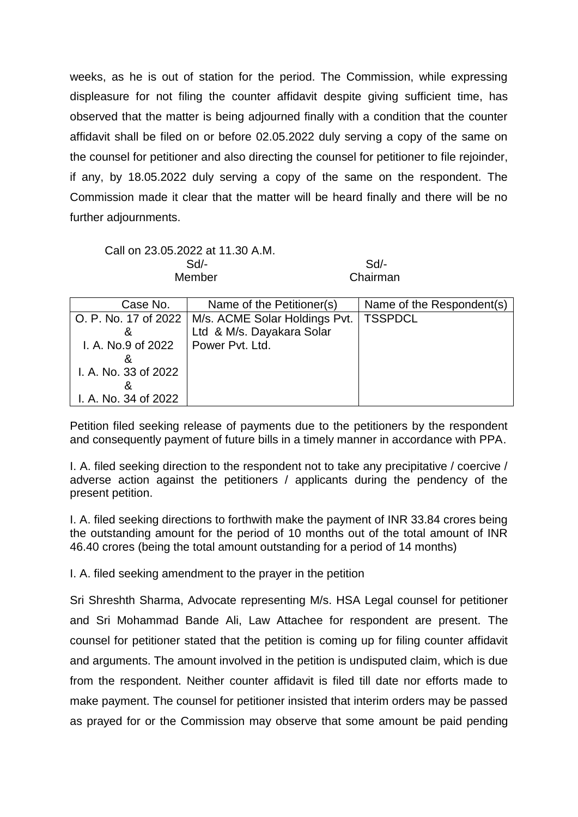weeks, as he is out of station for the period. The Commission, while expressing displeasure for not filing the counter affidavit despite giving sufficient time, has observed that the matter is being adjourned finally with a condition that the counter affidavit shall be filed on or before 02.05.2022 duly serving a copy of the same on the counsel for petitioner and also directing the counsel for petitioner to file rejoinder, if any, by 18.05.2022 duly serving a copy of the same on the respondent. The Commission made it clear that the matter will be heard finally and there will be no further adjournments.

## Call on 23.05.2022 at 11.30 A.M. Sd/- Sd/- Member Chairman

| Case No.             | Name of the Petitioner(s)                            | Name of the Respondent(s) |
|----------------------|------------------------------------------------------|---------------------------|
|                      | O. P. No. 17 of 2022   M/s. ACME Solar Holdings Pvt. | <b>TSSPDCL</b>            |
|                      | Ltd & M/s. Dayakara Solar                            |                           |
| I. A. No.9 of 2022   | Power Pvt. Ltd.                                      |                           |
|                      |                                                      |                           |
| I. A. No. 33 of 2022 |                                                      |                           |
|                      |                                                      |                           |
| I. A. No. 34 of 2022 |                                                      |                           |

Petition filed seeking release of payments due to the petitioners by the respondent and consequently payment of future bills in a timely manner in accordance with PPA.

I. A. filed seeking direction to the respondent not to take any precipitative / coercive / adverse action against the petitioners / applicants during the pendency of the present petition.

I. A. filed seeking directions to forthwith make the payment of INR 33.84 crores being the outstanding amount for the period of 10 months out of the total amount of INR 46.40 crores (being the total amount outstanding for a period of 14 months)

I. A. filed seeking amendment to the prayer in the petition

Sri Shreshth Sharma, Advocate representing M/s. HSA Legal counsel for petitioner and Sri Mohammad Bande Ali, Law Attachee for respondent are present. The counsel for petitioner stated that the petition is coming up for filing counter affidavit and arguments. The amount involved in the petition is undisputed claim, which is due from the respondent. Neither counter affidavit is filed till date nor efforts made to make payment. The counsel for petitioner insisted that interim orders may be passed as prayed for or the Commission may observe that some amount be paid pending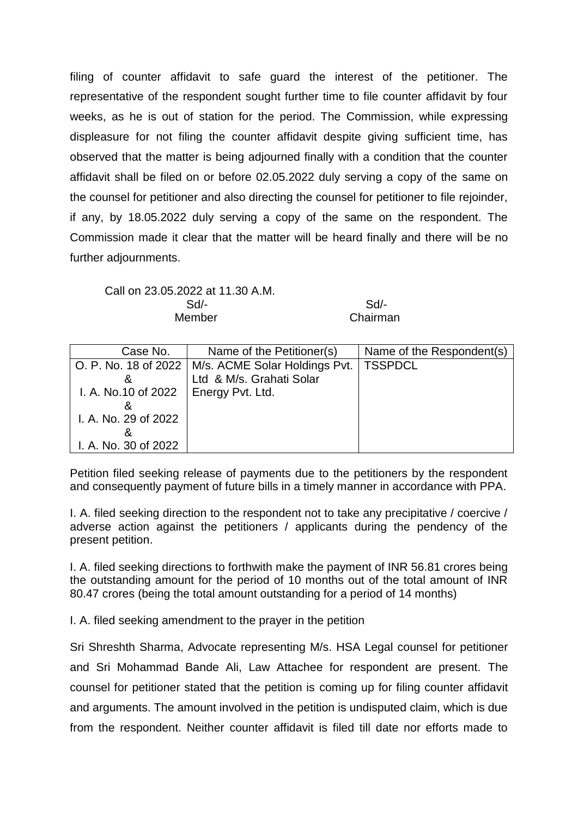filing of counter affidavit to safe guard the interest of the petitioner. The representative of the respondent sought further time to file counter affidavit by four weeks, as he is out of station for the period. The Commission, while expressing displeasure for not filing the counter affidavit despite giving sufficient time, has observed that the matter is being adjourned finally with a condition that the counter affidavit shall be filed on or before 02.05.2022 duly serving a copy of the same on the counsel for petitioner and also directing the counsel for petitioner to file rejoinder, if any, by 18.05.2022 duly serving a copy of the same on the respondent. The Commission made it clear that the matter will be heard finally and there will be no further adjournments.

Call on 23.05.2022 at 11.30 A.M. Sd/- Sd/- Member **Chairman** 

| Case No.                               | Name of the Petitioner(s)                            | Name of the Respondent(s) |
|----------------------------------------|------------------------------------------------------|---------------------------|
|                                        | O. P. No. 18 of 2022   M/s. ACME Solar Holdings Pvt. | <b>TSSPDCL</b>            |
|                                        | Ltd & M/s. Grahati Solar                             |                           |
| I. A. No.10 of 2022   Energy Pvt. Ltd. |                                                      |                           |
|                                        |                                                      |                           |
| I. A. No. 29 of 2022                   |                                                      |                           |
|                                        |                                                      |                           |
| I. A. No. 30 of 2022                   |                                                      |                           |

Petition filed seeking release of payments due to the petitioners by the respondent and consequently payment of future bills in a timely manner in accordance with PPA.

I. A. filed seeking direction to the respondent not to take any precipitative / coercive / adverse action against the petitioners / applicants during the pendency of the present petition.

I. A. filed seeking directions to forthwith make the payment of INR 56.81 crores being the outstanding amount for the period of 10 months out of the total amount of INR 80.47 crores (being the total amount outstanding for a period of 14 months)

I. A. filed seeking amendment to the prayer in the petition

Sri Shreshth Sharma, Advocate representing M/s. HSA Legal counsel for petitioner and Sri Mohammad Bande Ali, Law Attachee for respondent are present. The counsel for petitioner stated that the petition is coming up for filing counter affidavit and arguments. The amount involved in the petition is undisputed claim, which is due from the respondent. Neither counter affidavit is filed till date nor efforts made to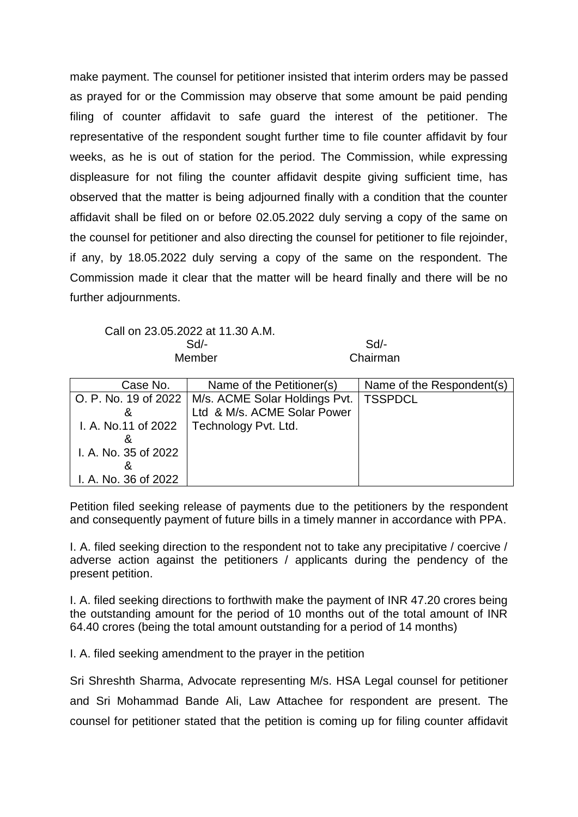make payment. The counsel for petitioner insisted that interim orders may be passed as prayed for or the Commission may observe that some amount be paid pending filing of counter affidavit to safe guard the interest of the petitioner. The representative of the respondent sought further time to file counter affidavit by four weeks, as he is out of station for the period. The Commission, while expressing displeasure for not filing the counter affidavit despite giving sufficient time, has observed that the matter is being adjourned finally with a condition that the counter affidavit shall be filed on or before 02.05.2022 duly serving a copy of the same on the counsel for petitioner and also directing the counsel for petitioner to file rejoinder, if any, by 18.05.2022 duly serving a copy of the same on the respondent. The Commission made it clear that the matter will be heard finally and there will be no further adjournments.

Call on 23.05.2022 at 11.30 A.M. Sd/- Sd/- Member Chairman

| Case No.             | Name of the Petitioner(s)     | Name of the Respondent(s) |
|----------------------|-------------------------------|---------------------------|
| O. P. No. 19 of 2022 | M/s. ACME Solar Holdings Pvt. | <b>TSSPDCL</b>            |
|                      | Ltd & M/s. ACME Solar Power   |                           |
| I. A. No.11 of 2022  | Technology Pvt. Ltd.          |                           |
|                      |                               |                           |
| I. A. No. 35 of 2022 |                               |                           |
|                      |                               |                           |
| I. A. No. 36 of 2022 |                               |                           |

Petition filed seeking release of payments due to the petitioners by the respondent and consequently payment of future bills in a timely manner in accordance with PPA.

I. A. filed seeking direction to the respondent not to take any precipitative / coercive / adverse action against the petitioners / applicants during the pendency of the present petition.

I. A. filed seeking directions to forthwith make the payment of INR 47.20 crores being the outstanding amount for the period of 10 months out of the total amount of INR 64.40 crores (being the total amount outstanding for a period of 14 months)

I. A. filed seeking amendment to the prayer in the petition

Sri Shreshth Sharma, Advocate representing M/s. HSA Legal counsel for petitioner and Sri Mohammad Bande Ali, Law Attachee for respondent are present. The counsel for petitioner stated that the petition is coming up for filing counter affidavit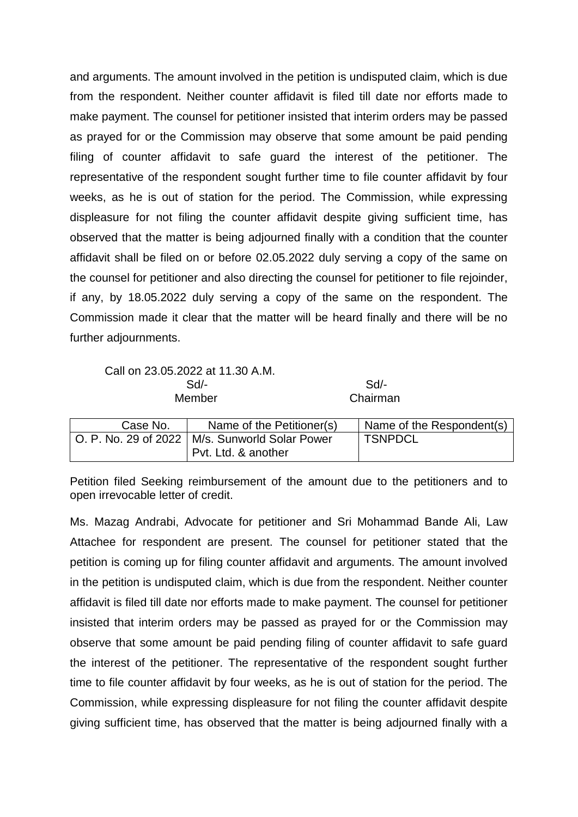and arguments. The amount involved in the petition is undisputed claim, which is due from the respondent. Neither counter affidavit is filed till date nor efforts made to make payment. The counsel for petitioner insisted that interim orders may be passed as prayed for or the Commission may observe that some amount be paid pending filing of counter affidavit to safe guard the interest of the petitioner. The representative of the respondent sought further time to file counter affidavit by four weeks, as he is out of station for the period. The Commission, while expressing displeasure for not filing the counter affidavit despite giving sufficient time, has observed that the matter is being adjourned finally with a condition that the counter affidavit shall be filed on or before 02.05.2022 duly serving a copy of the same on the counsel for petitioner and also directing the counsel for petitioner to file rejoinder, if any, by 18.05.2022 duly serving a copy of the same on the respondent. The Commission made it clear that the matter will be heard finally and there will be no further adjournments.

Call on 23.05.2022 at 11.30 A.M. Sd/- Sd/-

Member Chairman

| Case No. | Name of the Petitioner(s)                        | Name of the Respondent(s) |
|----------|--------------------------------------------------|---------------------------|
|          | O. P. No. 29 of 2022   M/s. Sunworld Solar Power | <b>TSNPDCL</b>            |
|          | Pvt. Ltd. & another                              |                           |

Petition filed Seeking reimbursement of the amount due to the petitioners and to open irrevocable letter of credit.

Ms. Mazag Andrabi, Advocate for petitioner and Sri Mohammad Bande Ali, Law Attachee for respondent are present. The counsel for petitioner stated that the petition is coming up for filing counter affidavit and arguments. The amount involved in the petition is undisputed claim, which is due from the respondent. Neither counter affidavit is filed till date nor efforts made to make payment. The counsel for petitioner insisted that interim orders may be passed as prayed for or the Commission may observe that some amount be paid pending filing of counter affidavit to safe guard the interest of the petitioner. The representative of the respondent sought further time to file counter affidavit by four weeks, as he is out of station for the period. The Commission, while expressing displeasure for not filing the counter affidavit despite giving sufficient time, has observed that the matter is being adjourned finally with a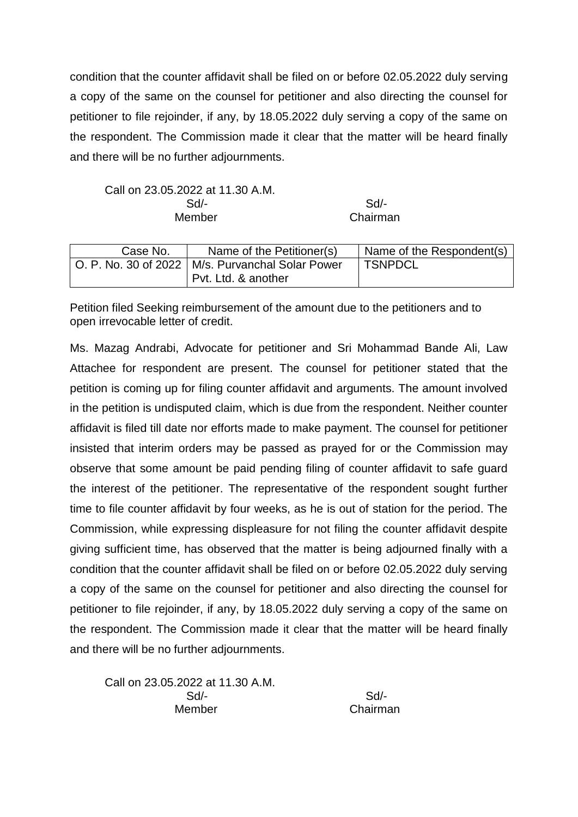condition that the counter affidavit shall be filed on or before 02.05.2022 duly serving a copy of the same on the counsel for petitioner and also directing the counsel for petitioner to file rejoinder, if any, by 18.05.2022 duly serving a copy of the same on the respondent. The Commission made it clear that the matter will be heard finally and there will be no further adjournments.

Call on 23.05.2022 at 11.30 A.M. Sd/- Sd/- Member Chairman

| Case No. | Name of the Petitioner(s)                                                 | Name of the Respondent(s) |
|----------|---------------------------------------------------------------------------|---------------------------|
|          | O. P. No. 30 of 2022   M/s. Purvanchal Solar Power<br>Pvt. Ltd. & another | <b>TSNPDCL</b>            |

Petition filed Seeking reimbursement of the amount due to the petitioners and to open irrevocable letter of credit.

Ms. Mazag Andrabi, Advocate for petitioner and Sri Mohammad Bande Ali, Law Attachee for respondent are present. The counsel for petitioner stated that the petition is coming up for filing counter affidavit and arguments. The amount involved in the petition is undisputed claim, which is due from the respondent. Neither counter affidavit is filed till date nor efforts made to make payment. The counsel for petitioner insisted that interim orders may be passed as prayed for or the Commission may observe that some amount be paid pending filing of counter affidavit to safe guard the interest of the petitioner. The representative of the respondent sought further time to file counter affidavit by four weeks, as he is out of station for the period. The Commission, while expressing displeasure for not filing the counter affidavit despite giving sufficient time, has observed that the matter is being adjourned finally with a condition that the counter affidavit shall be filed on or before 02.05.2022 duly serving a copy of the same on the counsel for petitioner and also directing the counsel for petitioner to file rejoinder, if any, by 18.05.2022 duly serving a copy of the same on the respondent. The Commission made it clear that the matter will be heard finally and there will be no further adjournments.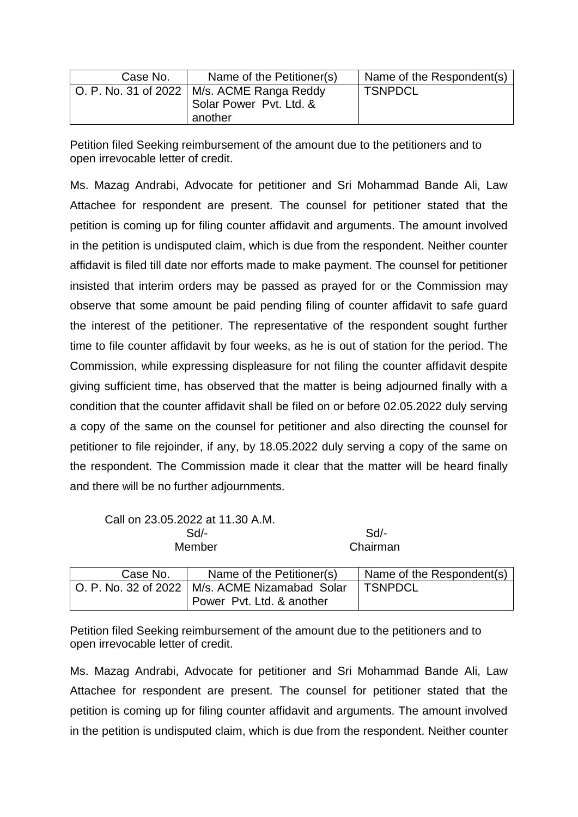| Case No. | Name of the Petitioner(s)                                                          | Name of the Respondent(s) |
|----------|------------------------------------------------------------------------------------|---------------------------|
|          | O. P. No. 31 of 2022   M/s. ACME Ranga Reddy<br>Solar Power Pvt. Ltd. &<br>another | <b>TSNPDCL</b>            |

Petition filed Seeking reimbursement of the amount due to the petitioners and to open irrevocable letter of credit.

Ms. Mazag Andrabi, Advocate for petitioner and Sri Mohammad Bande Ali, Law Attachee for respondent are present. The counsel for petitioner stated that the petition is coming up for filing counter affidavit and arguments. The amount involved in the petition is undisputed claim, which is due from the respondent. Neither counter affidavit is filed till date nor efforts made to make payment. The counsel for petitioner insisted that interim orders may be passed as prayed for or the Commission may observe that some amount be paid pending filing of counter affidavit to safe guard the interest of the petitioner. The representative of the respondent sought further time to file counter affidavit by four weeks, as he is out of station for the period. The Commission, while expressing displeasure for not filing the counter affidavit despite giving sufficient time, has observed that the matter is being adjourned finally with a condition that the counter affidavit shall be filed on or before 02.05.2022 duly serving a copy of the same on the counsel for petitioner and also directing the counsel for petitioner to file rejoinder, if any, by 18.05.2022 duly serving a copy of the same on the respondent. The Commission made it clear that the matter will be heard finally and there will be no further adjournments.

Call on 23.05.2022 at 11.30 A.M. Sd/- Sd/- Member Chairman

| Case No. | Name of the Petitioner(s)                        | Name of the Respondent(s) |
|----------|--------------------------------------------------|---------------------------|
|          | O. P. No. 32 of 2022   M/s. ACME Nizamabad Solar | <b>TSNPDCL</b>            |
|          | Power Pyt. Ltd. & another                        |                           |

Petition filed Seeking reimbursement of the amount due to the petitioners and to open irrevocable letter of credit.

Ms. Mazag Andrabi, Advocate for petitioner and Sri Mohammad Bande Ali, Law Attachee for respondent are present. The counsel for petitioner stated that the petition is coming up for filing counter affidavit and arguments. The amount involved in the petition is undisputed claim, which is due from the respondent. Neither counter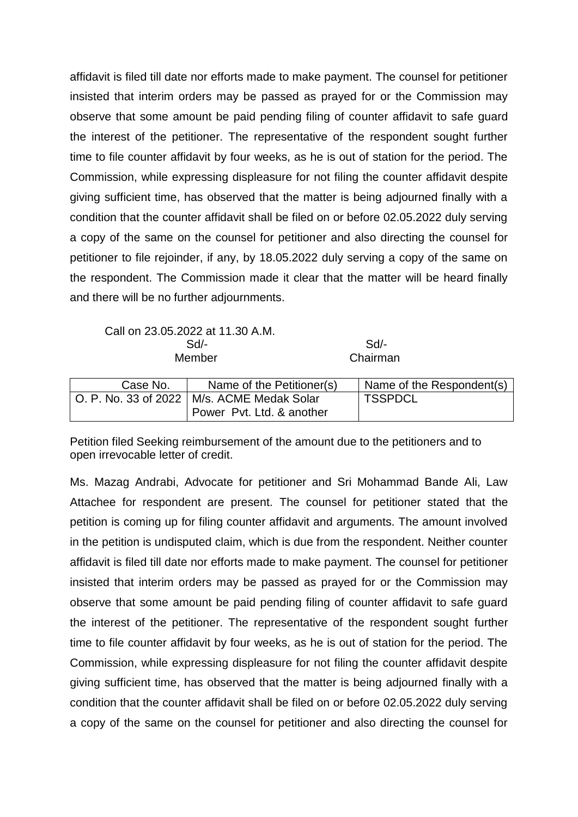affidavit is filed till date nor efforts made to make payment. The counsel for petitioner insisted that interim orders may be passed as prayed for or the Commission may observe that some amount be paid pending filing of counter affidavit to safe guard the interest of the petitioner. The representative of the respondent sought further time to file counter affidavit by four weeks, as he is out of station for the period. The Commission, while expressing displeasure for not filing the counter affidavit despite giving sufficient time, has observed that the matter is being adjourned finally with a condition that the counter affidavit shall be filed on or before 02.05.2022 duly serving a copy of the same on the counsel for petitioner and also directing the counsel for petitioner to file rejoinder, if any, by 18.05.2022 duly serving a copy of the same on the respondent. The Commission made it clear that the matter will be heard finally and there will be no further adjournments.

Call on 23.05.2022 at 11.30 A.M. Sd/- Sd/- Member Chairman

| Case No. | Name of the Petitioner(s)                    | Name of the Respondent(s) |
|----------|----------------------------------------------|---------------------------|
|          | O. P. No. 33 of 2022   M/s. ACME Medak Solar | <b>TSSPDCL</b>            |
|          | Power Pvt. Ltd. & another                    |                           |

Petition filed Seeking reimbursement of the amount due to the petitioners and to open irrevocable letter of credit.

Ms. Mazag Andrabi, Advocate for petitioner and Sri Mohammad Bande Ali, Law Attachee for respondent are present. The counsel for petitioner stated that the petition is coming up for filing counter affidavit and arguments. The amount involved in the petition is undisputed claim, which is due from the respondent. Neither counter affidavit is filed till date nor efforts made to make payment. The counsel for petitioner insisted that interim orders may be passed as prayed for or the Commission may observe that some amount be paid pending filing of counter affidavit to safe guard the interest of the petitioner. The representative of the respondent sought further time to file counter affidavit by four weeks, as he is out of station for the period. The Commission, while expressing displeasure for not filing the counter affidavit despite giving sufficient time, has observed that the matter is being adjourned finally with a condition that the counter affidavit shall be filed on or before 02.05.2022 duly serving a copy of the same on the counsel for petitioner and also directing the counsel for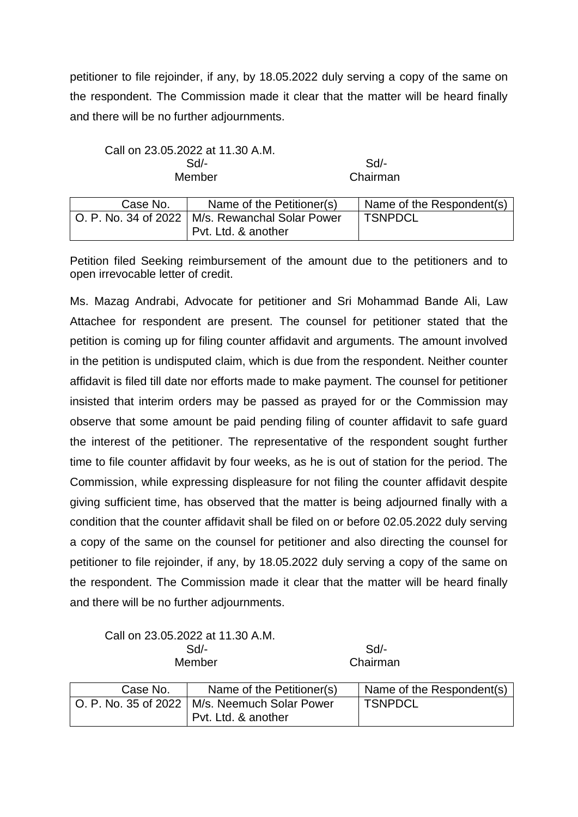petitioner to file rejoinder, if any, by 18.05.2022 duly serving a copy of the same on the respondent. The Commission made it clear that the matter will be heard finally and there will be no further adjournments.

Call on 23.05.2022 at 11.30 A.M. Sd/- Sd/- Member Chairman

| Case No. | Name of the Petitioner(s)                         | Name of the Respondent(s) |
|----------|---------------------------------------------------|---------------------------|
|          | O. P. No. 34 of 2022   M/s. Rewanchal Solar Power | 'TSNPDCL                  |
|          | I Pvt. Ltd. & another                             |                           |

Petition filed Seeking reimbursement of the amount due to the petitioners and to open irrevocable letter of credit.

Ms. Mazag Andrabi, Advocate for petitioner and Sri Mohammad Bande Ali, Law Attachee for respondent are present. The counsel for petitioner stated that the petition is coming up for filing counter affidavit and arguments. The amount involved in the petition is undisputed claim, which is due from the respondent. Neither counter affidavit is filed till date nor efforts made to make payment. The counsel for petitioner insisted that interim orders may be passed as prayed for or the Commission may observe that some amount be paid pending filing of counter affidavit to safe guard the interest of the petitioner. The representative of the respondent sought further time to file counter affidavit by four weeks, as he is out of station for the period. The Commission, while expressing displeasure for not filing the counter affidavit despite giving sufficient time, has observed that the matter is being adjourned finally with a condition that the counter affidavit shall be filed on or before 02.05.2022 duly serving a copy of the same on the counsel for petitioner and also directing the counsel for petitioner to file rejoinder, if any, by 18.05.2022 duly serving a copy of the same on the respondent. The Commission made it clear that the matter will be heard finally and there will be no further adjournments.

Call on 23.05.2022 at 11.30 A.M. Sd/- Sd/-

Member Chairman

| Case No. | Name of the Petitioner(s)                                                | Name of the Respondent(s) |
|----------|--------------------------------------------------------------------------|---------------------------|
|          | O. P. No. 35 of 2022   M/s. Neemuch Solar Power<br>  Pvt. Ltd. & another | <b>TSNPDCL</b>            |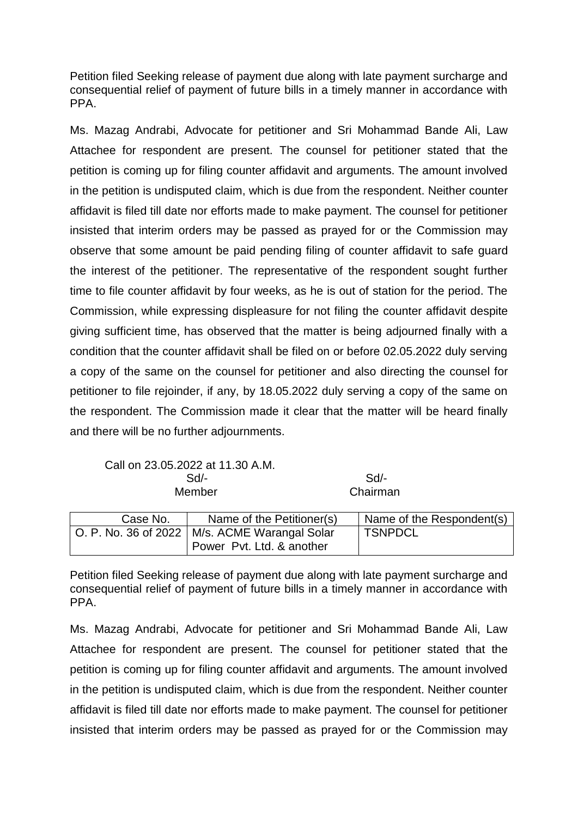Petition filed Seeking release of payment due along with late payment surcharge and consequential relief of payment of future bills in a timely manner in accordance with PPA.

Ms. Mazag Andrabi, Advocate for petitioner and Sri Mohammad Bande Ali, Law Attachee for respondent are present. The counsel for petitioner stated that the petition is coming up for filing counter affidavit and arguments. The amount involved in the petition is undisputed claim, which is due from the respondent. Neither counter affidavit is filed till date nor efforts made to make payment. The counsel for petitioner insisted that interim orders may be passed as prayed for or the Commission may observe that some amount be paid pending filing of counter affidavit to safe guard the interest of the petitioner. The representative of the respondent sought further time to file counter affidavit by four weeks, as he is out of station for the period. The Commission, while expressing displeasure for not filing the counter affidavit despite giving sufficient time, has observed that the matter is being adjourned finally with a condition that the counter affidavit shall be filed on or before 02.05.2022 duly serving a copy of the same on the counsel for petitioner and also directing the counsel for petitioner to file rejoinder, if any, by 18.05.2022 duly serving a copy of the same on the respondent. The Commission made it clear that the matter will be heard finally and there will be no further adjournments.

Call on 23.05.2022 at 11.30 A.M. Sd/- Sd/-

Member Chairman

| Case No. | Name of the Petitioner(s)                       | Name of the Respondent(s) |
|----------|-------------------------------------------------|---------------------------|
|          | O. P. No. 36 of 2022   M/s. ACME Warangal Solar | <b>TSNPDCL</b>            |
|          | Power Pvt. Ltd. & another                       |                           |

Petition filed Seeking release of payment due along with late payment surcharge and consequential relief of payment of future bills in a timely manner in accordance with PPA.

Ms. Mazag Andrabi, Advocate for petitioner and Sri Mohammad Bande Ali, Law Attachee for respondent are present. The counsel for petitioner stated that the petition is coming up for filing counter affidavit and arguments. The amount involved in the petition is undisputed claim, which is due from the respondent. Neither counter affidavit is filed till date nor efforts made to make payment. The counsel for petitioner insisted that interim orders may be passed as prayed for or the Commission may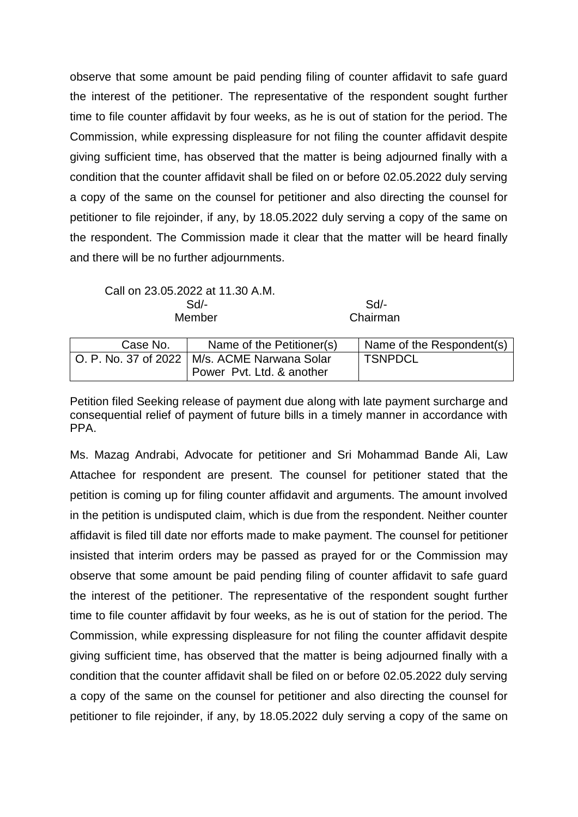observe that some amount be paid pending filing of counter affidavit to safe guard the interest of the petitioner. The representative of the respondent sought further time to file counter affidavit by four weeks, as he is out of station for the period. The Commission, while expressing displeasure for not filing the counter affidavit despite giving sufficient time, has observed that the matter is being adjourned finally with a condition that the counter affidavit shall be filed on or before 02.05.2022 duly serving a copy of the same on the counsel for petitioner and also directing the counsel for petitioner to file rejoinder, if any, by 18.05.2022 duly serving a copy of the same on the respondent. The Commission made it clear that the matter will be heard finally and there will be no further adjournments.

Call on 23.05.2022 at 11.30 A.M. Sd/- Sd/- Member Chairman

| Case No. | Name of the Petitioner(s)                      | Name of the Respondent(s) |
|----------|------------------------------------------------|---------------------------|
|          | O. P. No. 37 of 2022   M/s. ACME Narwana Solar | <b>TSNPDCL</b>            |
|          | Power Pvt. Ltd. & another                      |                           |

Petition filed Seeking release of payment due along with late payment surcharge and consequential relief of payment of future bills in a timely manner in accordance with PPA.

Ms. Mazag Andrabi, Advocate for petitioner and Sri Mohammad Bande Ali, Law Attachee for respondent are present. The counsel for petitioner stated that the petition is coming up for filing counter affidavit and arguments. The amount involved in the petition is undisputed claim, which is due from the respondent. Neither counter affidavit is filed till date nor efforts made to make payment. The counsel for petitioner insisted that interim orders may be passed as prayed for or the Commission may observe that some amount be paid pending filing of counter affidavit to safe guard the interest of the petitioner. The representative of the respondent sought further time to file counter affidavit by four weeks, as he is out of station for the period. The Commission, while expressing displeasure for not filing the counter affidavit despite giving sufficient time, has observed that the matter is being adjourned finally with a condition that the counter affidavit shall be filed on or before 02.05.2022 duly serving a copy of the same on the counsel for petitioner and also directing the counsel for petitioner to file rejoinder, if any, by 18.05.2022 duly serving a copy of the same on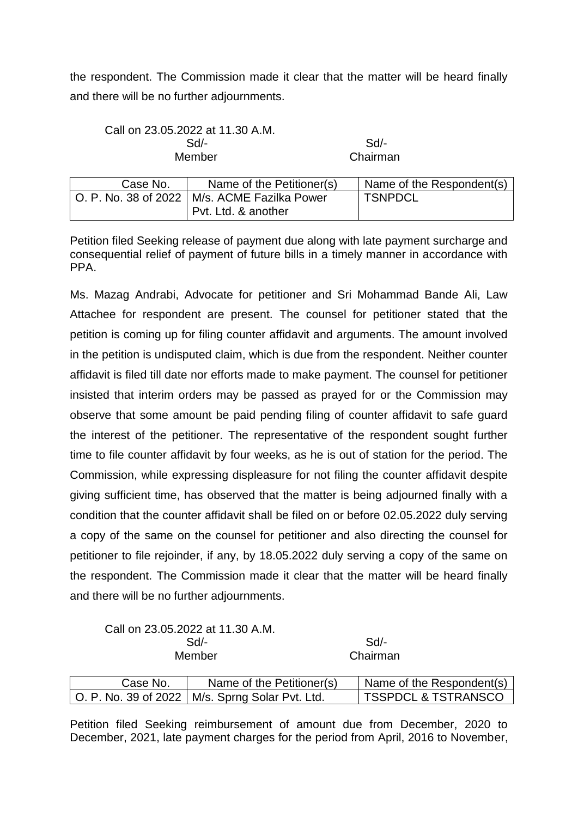the respondent. The Commission made it clear that the matter will be heard finally and there will be no further adjournments.

| $Sd/$ - |
|---------|
| Chairm  |
|         |

Chairman

| Case No. | Name of the Petitioner(s)                      | Name of the Respondent(s) |
|----------|------------------------------------------------|---------------------------|
|          | O. P. No. 38 of 2022   M/s. ACME Fazilka Power | <b>TSNPDCL</b>            |
|          | Pvt. Ltd. & another                            |                           |

Petition filed Seeking release of payment due along with late payment surcharge and consequential relief of payment of future bills in a timely manner in accordance with PPA.

Ms. Mazag Andrabi, Advocate for petitioner and Sri Mohammad Bande Ali, Law Attachee for respondent are present. The counsel for petitioner stated that the petition is coming up for filing counter affidavit and arguments. The amount involved in the petition is undisputed claim, which is due from the respondent. Neither counter affidavit is filed till date nor efforts made to make payment. The counsel for petitioner insisted that interim orders may be passed as prayed for or the Commission may observe that some amount be paid pending filing of counter affidavit to safe guard the interest of the petitioner. The representative of the respondent sought further time to file counter affidavit by four weeks, as he is out of station for the period. The Commission, while expressing displeasure for not filing the counter affidavit despite giving sufficient time, has observed that the matter is being adjourned finally with a condition that the counter affidavit shall be filed on or before 02.05.2022 duly serving a copy of the same on the counsel for petitioner and also directing the counsel for petitioner to file rejoinder, if any, by 18.05.2022 duly serving a copy of the same on the respondent. The Commission made it clear that the matter will be heard finally and there will be no further adjournments.

Call on 23.05.2022 at 11.30 A.M. Sd/- Sd/- Member Chairman

| Case No. | Name of the Petitioner(s)                         | Name of the Respondent(s)      |
|----------|---------------------------------------------------|--------------------------------|
|          | O. P. No. 39 of 2022   M/s. Sprng Solar Pvt. Ltd. | <b>TSSPDCL &amp; TSTRANSCO</b> |

Petition filed Seeking reimbursement of amount due from December, 2020 to December, 2021, late payment charges for the period from April, 2016 to November,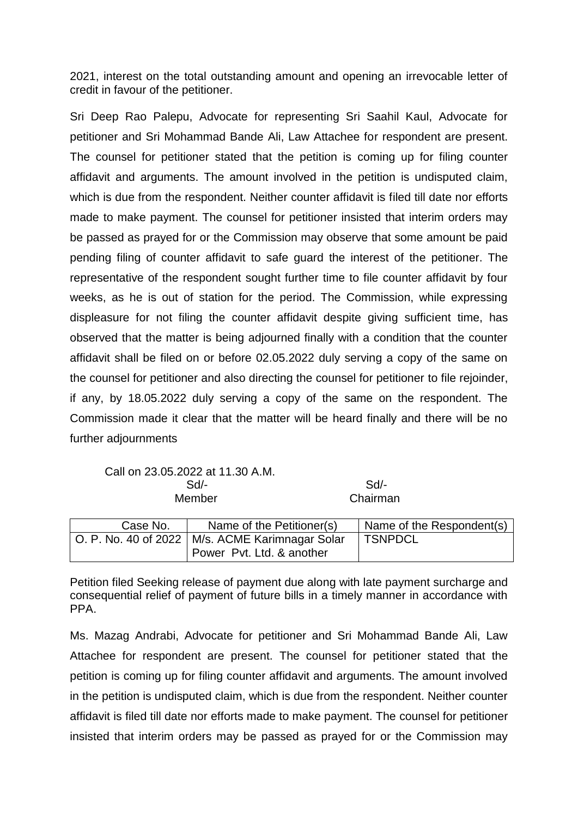2021, interest on the total outstanding amount and opening an irrevocable letter of credit in favour of the petitioner.

Sri Deep Rao Palepu, Advocate for representing Sri Saahil Kaul, Advocate for petitioner and Sri Mohammad Bande Ali, Law Attachee for respondent are present. The counsel for petitioner stated that the petition is coming up for filing counter affidavit and arguments. The amount involved in the petition is undisputed claim, which is due from the respondent. Neither counter affidavit is filed till date nor efforts made to make payment. The counsel for petitioner insisted that interim orders may be passed as prayed for or the Commission may observe that some amount be paid pending filing of counter affidavit to safe guard the interest of the petitioner. The representative of the respondent sought further time to file counter affidavit by four weeks, as he is out of station for the period. The Commission, while expressing displeasure for not filing the counter affidavit despite giving sufficient time, has observed that the matter is being adjourned finally with a condition that the counter affidavit shall be filed on or before 02.05.2022 duly serving a copy of the same on the counsel for petitioner and also directing the counsel for petitioner to file rejoinder, if any, by 18.05.2022 duly serving a copy of the same on the respondent. The Commission made it clear that the matter will be heard finally and there will be no further adjournments

Call on 23.05.2022 at 11.30 A.M. Sd/- Sd/-

Member Chairman

| Case No. | Name of the Petitioner(s)                         | Name of the Respondent(s) |
|----------|---------------------------------------------------|---------------------------|
|          | O. P. No. 40 of 2022   M/s. ACME Karimnagar Solar | <b>TSNPDCL</b>            |
|          | Power Pvt. Ltd. & another                         |                           |

Petition filed Seeking release of payment due along with late payment surcharge and consequential relief of payment of future bills in a timely manner in accordance with PPA.

Ms. Mazag Andrabi, Advocate for petitioner and Sri Mohammad Bande Ali, Law Attachee for respondent are present. The counsel for petitioner stated that the petition is coming up for filing counter affidavit and arguments. The amount involved in the petition is undisputed claim, which is due from the respondent. Neither counter affidavit is filed till date nor efforts made to make payment. The counsel for petitioner insisted that interim orders may be passed as prayed for or the Commission may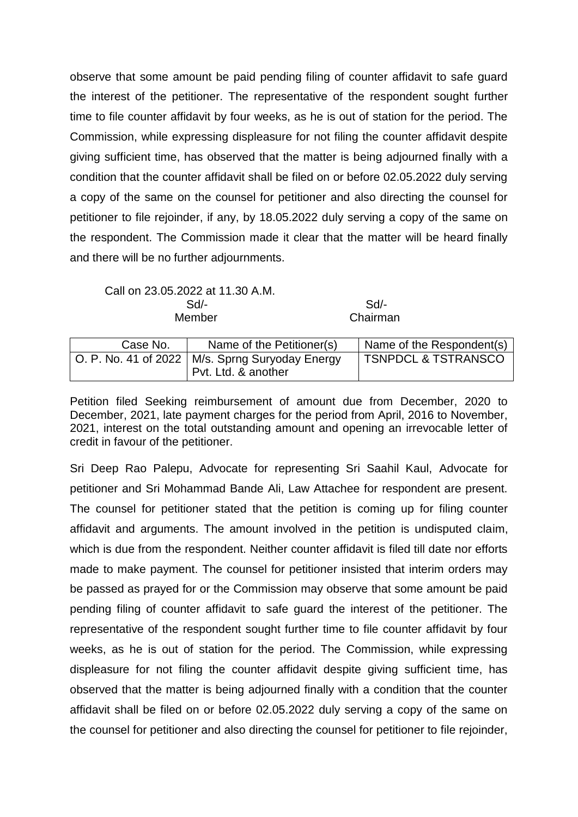observe that some amount be paid pending filing of counter affidavit to safe guard the interest of the petitioner. The representative of the respondent sought further time to file counter affidavit by four weeks, as he is out of station for the period. The Commission, while expressing displeasure for not filing the counter affidavit despite giving sufficient time, has observed that the matter is being adjourned finally with a condition that the counter affidavit shall be filed on or before 02.05.2022 duly serving a copy of the same on the counsel for petitioner and also directing the counsel for petitioner to file rejoinder, if any, by 18.05.2022 duly serving a copy of the same on the respondent. The Commission made it clear that the matter will be heard finally and there will be no further adjournments.

Call on 23.05.2022 at 11.30 A.M. Sd/- Sd/- Member **Chairman** 

| Case No. | Name of the Petitioner(s)                                                                | Name of the Respondent(s)      |
|----------|------------------------------------------------------------------------------------------|--------------------------------|
|          | $\vert$ O. P. No. 41 of 2022 $\vert$ M/s. Sprng Suryoday Energy<br>  Pvt. Ltd. & another | <b>TSNPDCL &amp; TSTRANSCO</b> |

Petition filed Seeking reimbursement of amount due from December, 2020 to December, 2021, late payment charges for the period from April, 2016 to November, 2021, interest on the total outstanding amount and opening an irrevocable letter of credit in favour of the petitioner.

Sri Deep Rao Palepu, Advocate for representing Sri Saahil Kaul, Advocate for petitioner and Sri Mohammad Bande Ali, Law Attachee for respondent are present. The counsel for petitioner stated that the petition is coming up for filing counter affidavit and arguments. The amount involved in the petition is undisputed claim, which is due from the respondent. Neither counter affidavit is filed till date nor efforts made to make payment. The counsel for petitioner insisted that interim orders may be passed as prayed for or the Commission may observe that some amount be paid pending filing of counter affidavit to safe guard the interest of the petitioner. The representative of the respondent sought further time to file counter affidavit by four weeks, as he is out of station for the period. The Commission, while expressing displeasure for not filing the counter affidavit despite giving sufficient time, has observed that the matter is being adjourned finally with a condition that the counter affidavit shall be filed on or before 02.05.2022 duly serving a copy of the same on the counsel for petitioner and also directing the counsel for petitioner to file rejoinder,